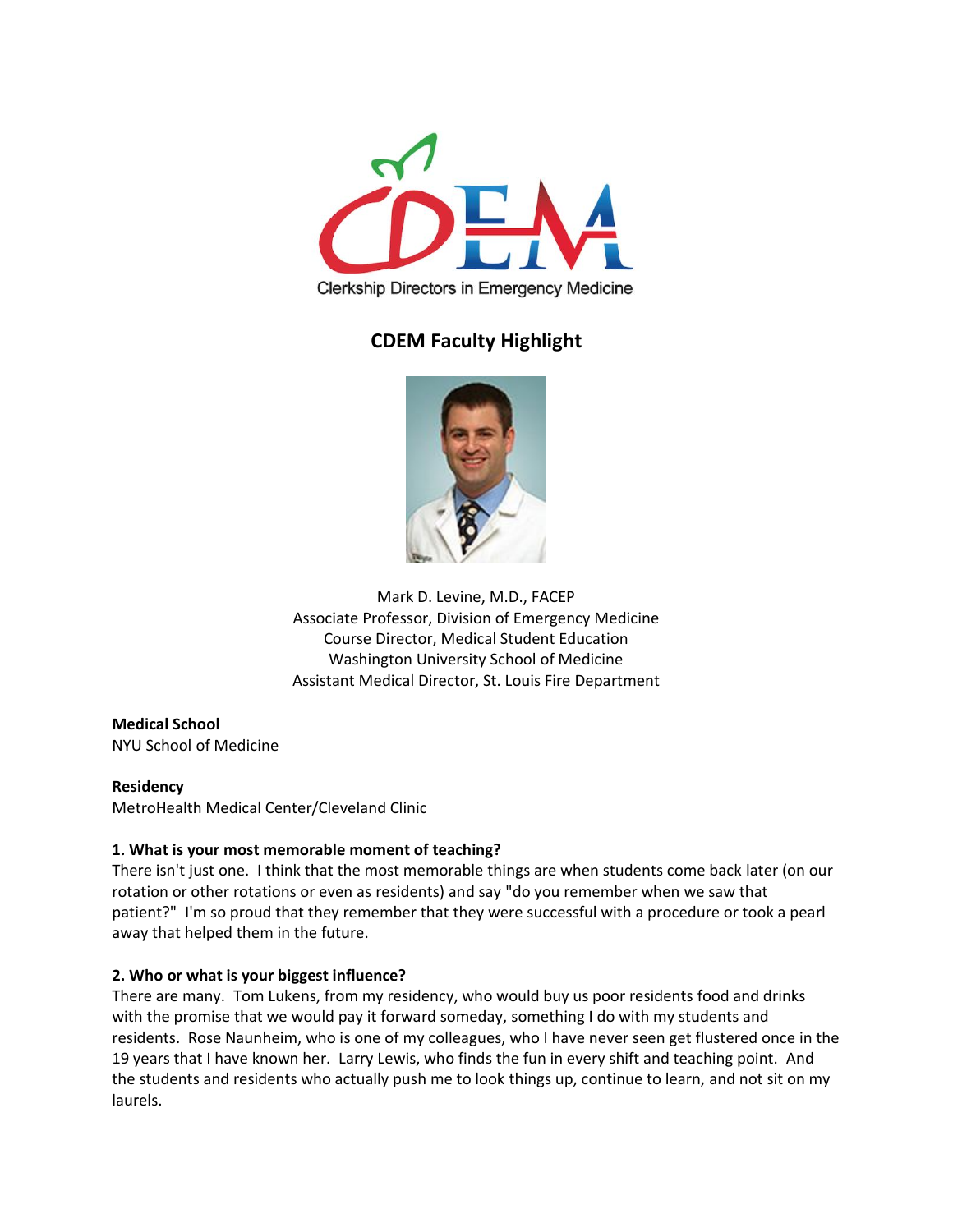

# **CDEM Faculty Highlight**



Mark D. Levine, M.D., FACEP Associate Professor, Division of Emergency Medicine Course Director, Medical Student Education Washington University School of Medicine Assistant Medical Director, St. Louis Fire Department

## **Medical School** NYU School of Medicine

#### **Residency**

MetroHealth Medical Center/Cleveland Clinic

# **1. What is your most memorable moment of teaching?**

There isn't just one. I think that the most memorable things are when students come back later (on our rotation or other rotations or even as residents) and say "do you remember when we saw that patient?" I'm so proud that they remember that they were successful with a procedure or took a pearl away that helped them in the future.

# **2. Who or what is your biggest influence?**

There are many. Tom Lukens, from my residency, who would buy us poor residents food and drinks with the promise that we would pay it forward someday, something I do with my students and residents. Rose Naunheim, who is one of my colleagues, who I have never seen get flustered once in the 19 years that I have known her. Larry Lewis, who finds the fun in every shift and teaching point. And the students and residents who actually push me to look things up, continue to learn, and not sit on my laurels.